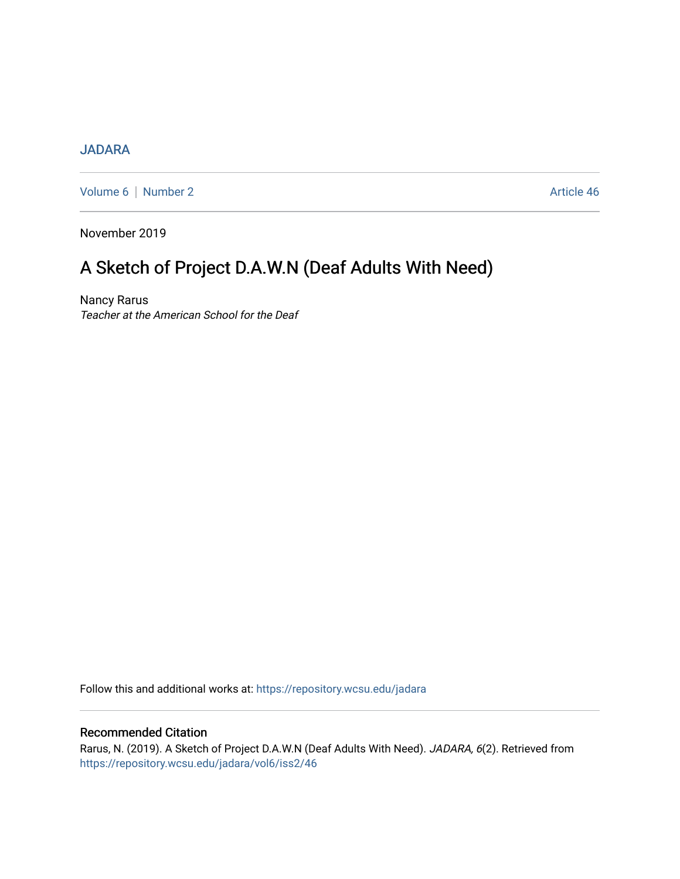## [JADARA](https://repository.wcsu.edu/jadara)

[Volume 6](https://repository.wcsu.edu/jadara/vol6) | [Number 2](https://repository.wcsu.edu/jadara/vol6/iss2) Article 46

November 2019

# A Sketch of Project D.A.W.N (Deaf Adults With Need)

Nancy Rarus Teacher at the American School for the Deaf

Follow this and additional works at: [https://repository.wcsu.edu/jadara](https://repository.wcsu.edu/jadara?utm_source=repository.wcsu.edu%2Fjadara%2Fvol6%2Fiss2%2F46&utm_medium=PDF&utm_campaign=PDFCoverPages)

### Recommended Citation

Rarus, N. (2019). A Sketch of Project D.A.W.N (Deaf Adults With Need). JADARA, 6(2). Retrieved from [https://repository.wcsu.edu/jadara/vol6/iss2/46](https://repository.wcsu.edu/jadara/vol6/iss2/46?utm_source=repository.wcsu.edu%2Fjadara%2Fvol6%2Fiss2%2F46&utm_medium=PDF&utm_campaign=PDFCoverPages)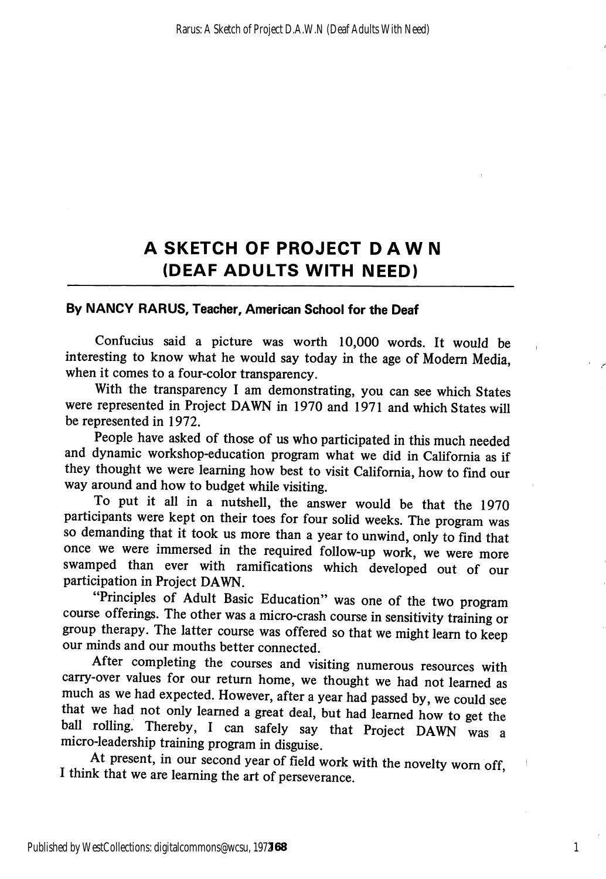# A SKETCH OF PROJECT DAWN (DEAF ADULTS WITH NEED)

#### By NANCY RARUS, Teacher, American School for the Deaf

Confucius said a picture was worth 10,000 words. It would be interesting to know what he would say today in the age of Modem Media, when it comes to a four-color transparency.

With the transparency I am demonstrating, you can see which States were represented in Project DAWN in 1970 and 1971 and which States will be represented in 1972.

People have asked of those of us who participated in this much needed and dynamic workshop-education program what we did in California as if they thought we were leaming how best to visit Califomia, how to find our way around and how to budget while visiting.

To put it all in a nutshell, the answer would be that the 1970 participants were kept on their toes for four solid weeks. The program was so demanding that it took us more than a year to unwind, only to find that once we were immersed in the required follow-up work, we were more swamped than ever with ramifications which developed out of our participation in Project DAWN.

"Principles of Adult Basic Education" was one of the two program course offerings. The other was a micro-crash course in sensitivity training or group therapy. The latter course was offered so that we might leam to keep our minds and our mouths better connected.

After completing the courses and visiting numerous resources with carry-over values for our return home, we thought we had not learned as much as we had expected. However, after a year had passed by, we could see that we had not only learned a great deal, but had learned how to get the ball rolling. Thereby, I can safely say that Project DAWN was a micro-leadership training program in disguise.

At present, in our second year of field work with the novelty worn off I think that we are leaming the art of perseverance.